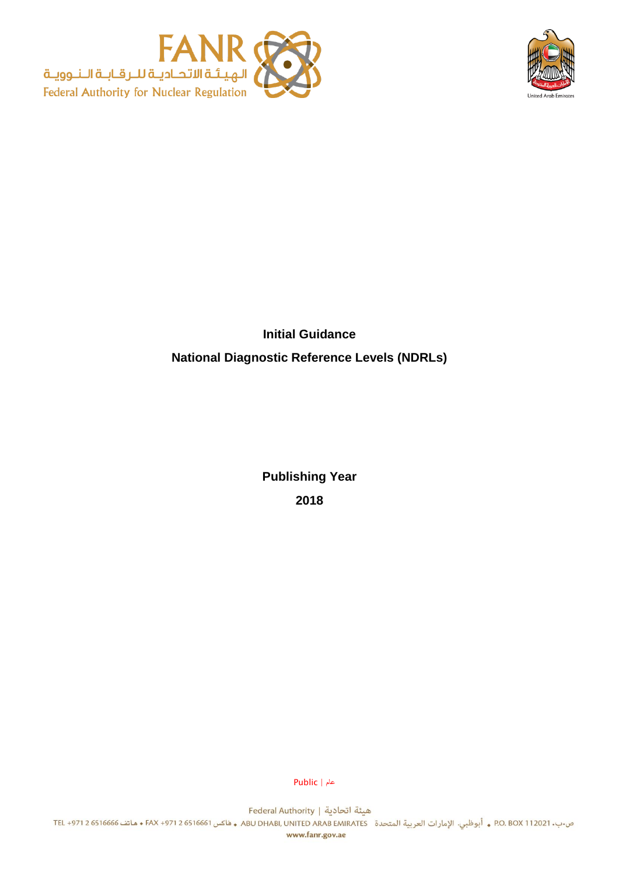



# **Initial Guidance National Diagnostic Reference Levels (NDRLs)**

**Publishing Year 2018**

عام | Public

هيئة اتحادية | Federal Authority ص.ب. 2021 0.12021 P.O. BOX . أبوظبي. الإمارات العربية المتحدة ABU DHABI, UNITED ARAB EMIRATES ه فاكس 6516661 + FAX +971 2 هاتف 6516666 و FAX +971 2 6516661 www.fanr.gov.ae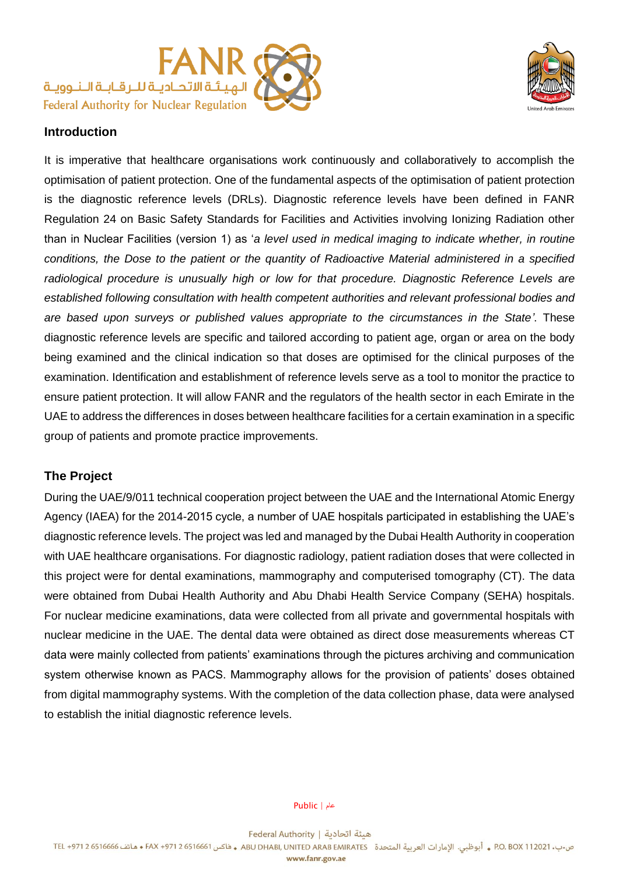



## **Introduction**

It is imperative that healthcare organisations work continuously and collaboratively to accomplish the optimisation of patient protection. One of the fundamental aspects of the optimisation of patient protection is the diagnostic reference levels (DRLs). Diagnostic reference levels have been defined in FANR Regulation 24 on Basic Safety Standards for Facilities and Activities involving Ionizing Radiation other than in Nuclear Facilities (version 1) as '*a level used in medical imaging to indicate whether, in routine conditions, the Dose to the patient or the quantity of Radioactive Material administered in a specified*  radiological procedure is unusually high or low for that procedure. Diagnostic Reference Levels are *established following consultation with health competent authorities and relevant professional bodies and are based upon surveys or published values appropriate to the circumstances in the State'*. These diagnostic reference levels are specific and tailored according to patient age, organ or area on the body being examined and the clinical indication so that doses are optimised for the clinical purposes of the examination. Identification and establishment of reference levels serve as a tool to monitor the practice to ensure patient protection. It will allow FANR and the regulators of the health sector in each Emirate in the UAE to address the differences in doses between healthcare facilities for a certain examination in a specific group of patients and promote practice improvements.

## **The Project**

During the UAE/9/011 technical cooperation project between the UAE and the International Atomic Energy Agency (IAEA) for the 2014-2015 cycle, a number of UAE hospitals participated in establishing the UAE's diagnostic reference levels. The project was led and managed by the Dubai Health Authority in cooperation with UAE healthcare organisations. For diagnostic radiology, patient radiation doses that were collected in this project were for dental examinations, mammography and computerised tomography (CT). The data were obtained from Dubai Health Authority and Abu Dhabi Health Service Company (SEHA) hospitals. For nuclear medicine examinations, data were collected from all private and governmental hospitals with nuclear medicine in the UAE. The dental data were obtained as direct dose measurements whereas CT data were mainly collected from patients' examinations through the pictures archiving and communication system otherwise known as PACS. Mammography allows for the provision of patients' doses obtained from digital mammography systems. With the completion of the data collection phase, data were analysed to establish the initial diagnostic reference levels.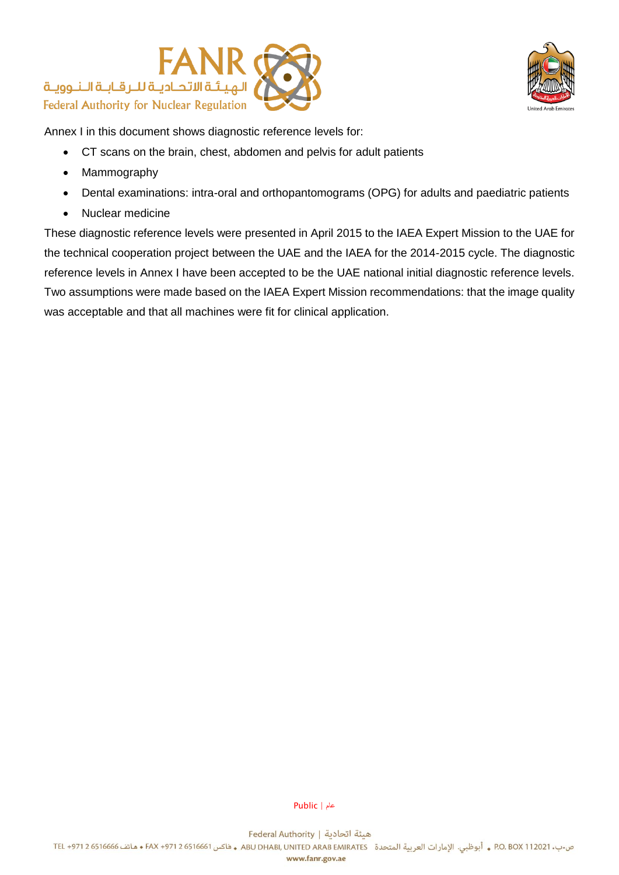



Annex I in this document shows diagnostic reference levels for:

- CT scans on the brain, chest, abdomen and pelvis for adult patients
- Mammography
- Dental examinations: intra-oral and orthopantomograms (OPG) for adults and paediatric patients
- Nuclear medicine

These diagnostic reference levels were presented in April 2015 to the IAEA Expert Mission to the UAE for the technical cooperation project between the UAE and the IAEA for the 2014-2015 cycle. The diagnostic reference levels in Annex I have been accepted to be the UAE national initial diagnostic reference levels. Two assumptions were made based on the IAEA Expert Mission recommendations: that the image quality was acceptable and that all machines were fit for clinical application.

عام | Public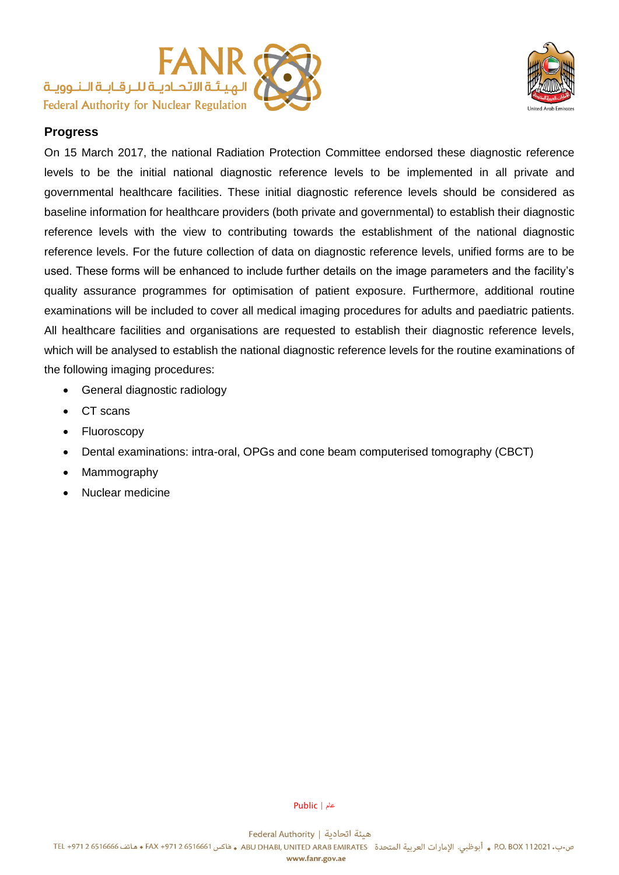



## **Progress**

On 15 March 2017, the national Radiation Protection Committee endorsed these diagnostic reference levels to be the initial national diagnostic reference levels to be implemented in all private and governmental healthcare facilities. These initial diagnostic reference levels should be considered as baseline information for healthcare providers (both private and governmental) to establish their diagnostic reference levels with the view to contributing towards the establishment of the national diagnostic reference levels. For the future collection of data on diagnostic reference levels, unified forms are to be used. These forms will be enhanced to include further details on the image parameters and the facility's quality assurance programmes for optimisation of patient exposure. Furthermore, additional routine examinations will be included to cover all medical imaging procedures for adults and paediatric patients. All healthcare facilities and organisations are requested to establish their diagnostic reference levels, which will be analysed to establish the national diagnostic reference levels for the routine examinations of the following imaging procedures:

- General diagnostic radiology
- CT scans
- Fluoroscopy
- Dental examinations: intra-oral, OPGs and cone beam computerised tomography (CBCT)
- Mammography
- Nuclear medicine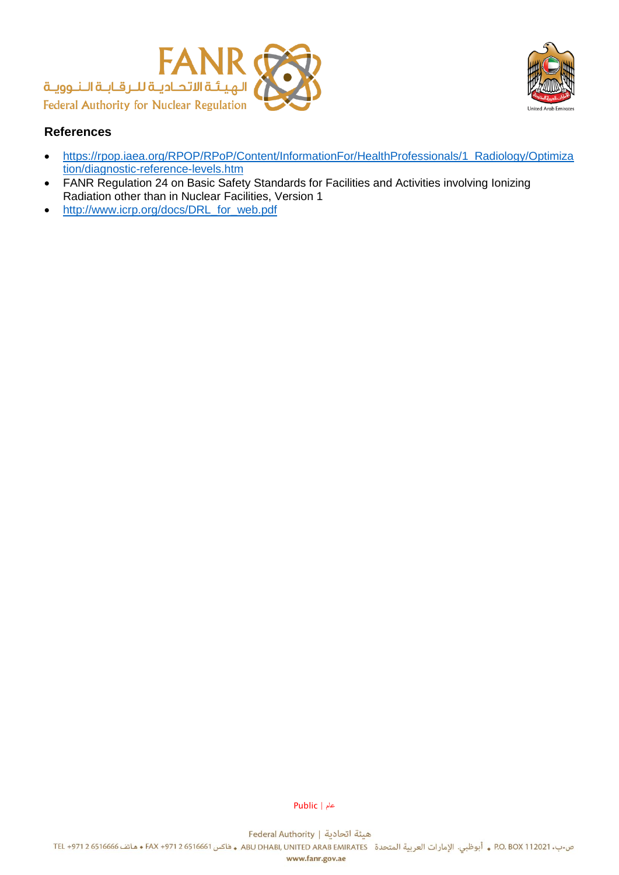



## **References**

- [https://rpop.iaea.org/RPOP/RPoP/Content/InformationFor/HealthProfessionals/1\\_Radiology/Optimiza](https://rpop.iaea.org/RPOP/RPoP/Content/InformationFor/HealthProfessionals/1_Radiology/Optimization/diagnostic-reference-levels.htm) [tion/diagnostic-reference-levels.htm](https://rpop.iaea.org/RPOP/RPoP/Content/InformationFor/HealthProfessionals/1_Radiology/Optimization/diagnostic-reference-levels.htm)
- FANR Regulation 24 on Basic Safety Standards for Facilities and Activities involving Ionizing Radiation other than in Nuclear Facilities, Version 1
- [http://www.icrp.org/docs/DRL\\_for\\_web.pdf](http://www.icrp.org/docs/DRL_for_web.pdf)

عام | Public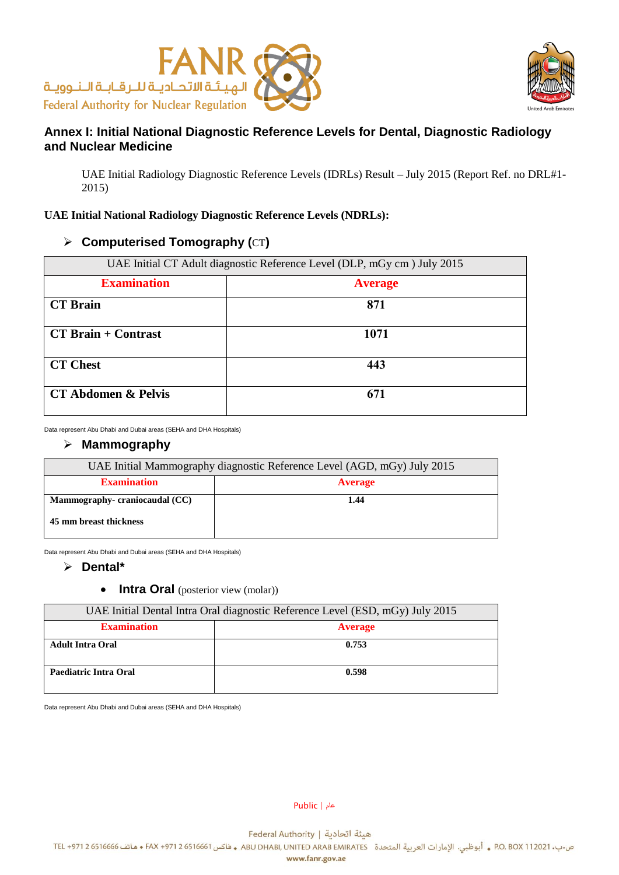



# **Annex I: Initial National Diagnostic Reference Levels for Dental, Diagnostic Radiology and Nuclear Medicine**

UAE Initial Radiology Diagnostic Reference Levels (IDRLs) Result – July 2015 (Report Ref. no DRL#1- 2015)

#### **UAE Initial National Radiology Diagnostic Reference Levels (NDRLs):**

### **Computerised Tomography (**CT**)**

| UAE Initial CT Adult diagnostic Reference Level (DLP, mGy cm) July 2015 |                |  |
|-------------------------------------------------------------------------|----------------|--|
| <b>Examination</b>                                                      | <b>Average</b> |  |
| <b>CT</b> Brain                                                         | 871            |  |
| <b>CT Brain + Contrast</b>                                              | 1071           |  |
| <b>CT Chest</b>                                                         | 443            |  |
| <b>CT Abdomen &amp; Pelvis</b>                                          | 671            |  |

Data represent Abu Dhabi and Dubai areas (SEHA and DHA Hospitals)

#### **Mammography**

| UAE Initial Mammography diagnostic Reference Level (AGD, mGy) July 2015 |                |  |
|-------------------------------------------------------------------------|----------------|--|
| <b>Examination</b>                                                      | <b>Average</b> |  |
| Mammography-craniocaudal (CC)                                           | 1.44           |  |
| 45 mm breast thickness                                                  |                |  |

Data represent Abu Dhabi and Dubai areas (SEHA and DHA Hospitals)

#### **Dental\***

• **Intra Oral** (posterior view (molar))

| UAE Initial Dental Intra Oral diagnostic Reference Level (ESD, mGy) July 2015 |                |  |
|-------------------------------------------------------------------------------|----------------|--|
| <b>Examination</b>                                                            | <b>Average</b> |  |
| <b>Adult Intra Oral</b>                                                       | 0.753          |  |
| Paediatric Intra Oral                                                         | 0.598          |  |

Data represent Abu Dhabi and Dubai areas (SEHA and DHA Hospitals)

عام | Public

هيئة اتحادية | Federal Authority

ص.ب. 2021 0.80X \$ . أبوظبي. الإمارات العربية المتحدة ABU DHABI, UNITED ARAB EMIRATES و فاكس 6516661 + FAX +971 و 6516661 مقاتف 6516666 . و أبوظبي. الإمارات العربية المتحدة ABU DHABI, UNITED ARAB EMIRATES و فاكس 6516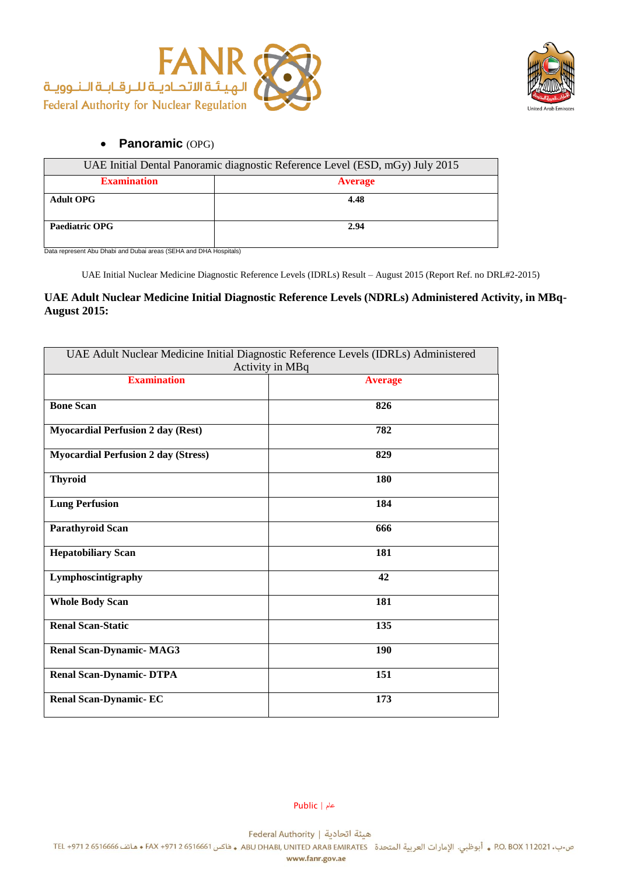



## **Panoramic** (OPG)

| UAE Initial Dental Panoramic diagnostic Reference Level (ESD, mGy) July 2015 |                |  |
|------------------------------------------------------------------------------|----------------|--|
| <b>Examination</b>                                                           | <b>Average</b> |  |
| <b>Adult OPG</b>                                                             | 4.48           |  |
|                                                                              |                |  |
| Paediatric OPG                                                               | 2.94           |  |
|                                                                              |                |  |

Data represent Abu Dhabi and Dubai areas (SEHA and DHA Hospitals)

UAE Initial Nuclear Medicine Diagnostic Reference Levels (IDRLs) Result – August 2015 (Report Ref. no DRL#2-2015)

#### **UAE Adult Nuclear Medicine Initial Diagnostic Reference Levels (NDRLs) Administered Activity, in MBq-August 2015:**

| UAE Adult Nuclear Medicine Initial Diagnostic Reference Levels (IDRLs) Administered<br>Activity in MBq |                |  |
|--------------------------------------------------------------------------------------------------------|----------------|--|
| <b>Examination</b>                                                                                     | <b>Average</b> |  |
| <b>Bone Scan</b>                                                                                       | 826            |  |
| <b>Myocardial Perfusion 2 day (Rest)</b>                                                               | 782            |  |
| <b>Myocardial Perfusion 2 day (Stress)</b>                                                             | 829            |  |
| <b>Thyroid</b>                                                                                         | 180            |  |
| <b>Lung Perfusion</b>                                                                                  | 184            |  |
| <b>Parathyroid Scan</b>                                                                                | 666            |  |
| <b>Hepatobiliary Scan</b>                                                                              | 181            |  |
| Lymphoscintigraphy                                                                                     | 42             |  |
| <b>Whole Body Scan</b>                                                                                 | 181            |  |
| <b>Renal Scan-Static</b>                                                                               | 135            |  |
| <b>Renal Scan-Dynamic- MAG3</b>                                                                        | 190            |  |
| <b>Renal Scan-Dynamic- DTPA</b>                                                                        | 151            |  |
| <b>Renal Scan-Dynamic-EC</b>                                                                           | 173            |  |

عام | Public

هيئة اتحادية | Federal Authority

ص.ب. 2021 0.12021 P.O. BOX . أبوظبي. الإمارات العربية المتحدة ABU DHABI, UNITED ARAB EMIRATES و فاكس 6516661 + FAX +971 و 6516661 و FAX +971 2 ماتف 6516666 .